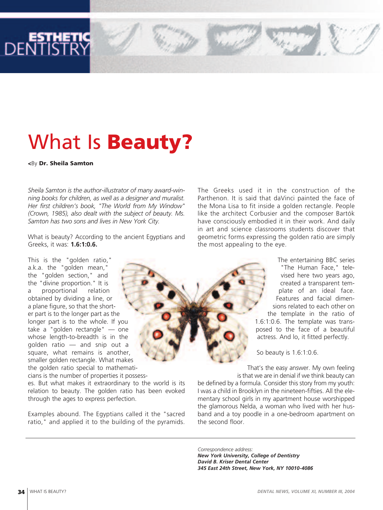

# What Is **Beauty?**

**<**By **Dr. Sheila Samton**

*Sheila Samton is the author-illustrator of many award-winning books for children, as well as a designer and muralist. Her first children's book, "The World from My Window" (Crown, 1985), also dealt with the subject of beauty. Ms. Samton has two sons and lives in New York City.*

What is beauty? According to the ancient Egyptians and Greeks, it was: **1.6:1:0.6.**

This is the "golden ratio," a.k.a. the "golden mean," the "golden section," and the "divine proportion." It is a proportional relation obtained by dividing a line, or a plane figure, so that the shorter part is to the longer part as the longer part is to the whole. If you take a "golden rectangle" — one whose length-to-breadth is in the golden ratio — and snip out a square, what remains is another, smaller golden rectangle. What makes the golden ratio special to mathemati-

cians is the number of properties it possess-

es. But what makes it extraordinary to the world is its relation to beauty. The golden ratio has been evoked through the ages to express perfection.

Examples abound. The Egyptians called it the "sacred ratio," and applied it to the building of the pyramids. The Greeks used it in the construction of the Parthenon. It is said that daVinci painted the face of the Mona Lisa to fit inside a golden rectangle. People like the architect Corbusier and the composer Bartók have consciously embodied it in their work. And daily in art and science classrooms students discover that geometric forms expressing the golden ratio are simply the most appealing to the eye.

> The entertaining BBC series "The Human Face," televised here two years ago, created a transparent template of an ideal face. Features and facial dimensions related to each other on the template in the ratio of 1.6:1:0.6. The template was transposed to the face of a beautiful actress. And lo, it fitted perfectly.

So beauty is 1.6:1:0.6.

That's the easy answer. My own feeling is that we are in denial if we think beauty can be defined by a formula. Consider this story from my youth: I was a child in Brooklyn in the nineteen-fifties. All the elementary school girls in my apartment house worshipped the glamorous Nelda, a woman who lived with her husband and a toy poodle in a one-bedroom apartment on the second floor.

*Correspondence address: New York University, College of Dentistry David B. Kriser Dental Center 345 East 24th Street, New York, NY 10010-4086*

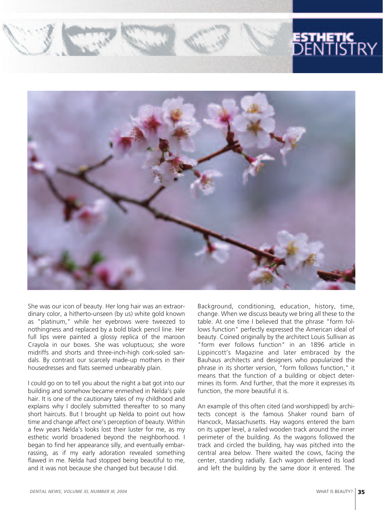

She was our icon of beauty. Her long hair was an extraordinary color, a hitherto-unseen (by us) white gold known as "platinum," while her eyebrows were tweezed to nothingness and replaced by a bold black pencil line. Her full lips were painted a glossy replica of the maroon Crayola in our boxes. She was voluptuous; she wore midriffs and shorts and three-inch-high cork-soled sandals. By contrast our scarcely made-up mothers in their housedresses and flats seemed unbearably plain.

I could go on to tell you about the night a bat got into our building and somehow became enmeshed in Nelda's pale hair. It is one of the cautionary tales of my childhood and explains why I docilely submitted thereafter to so many short haircuts. But I brought up Nelda to point out how time and change affect one's perception of beauty. Within a few years Nelda's looks lost their luster for me, as my esthetic world broadened beyond the neighborhood. I began to find her appearance silly, and eventually embarrassing, as if my early adoration revealed something flawed in me. Nelda had stopped being beautiful to me, and it was not because she changed but because I did.

Background, conditioning, education, history, time, change. When we discuss beauty we bring all these to the table. At one time I believed that the phrase "form follows function" perfectly expressed the American ideal of beauty. Coined originally by the architect Louis Sullivan as "form ever follows function" in an 1896 article in Lippincott's Magazine and later embraced by the Bauhaus architects and designers who popularized the phrase in its shorter version, "form follows function," it means that the function of a building or object determines its form. And further, that the more it expresses its function, the more beautiful it is.

An example of this often cited (and worshipped) by architects concept is the famous Shaker round barn of Hancock, Massachusetts. Hay wagons entered the barn on its upper level, a railed wooden track around the inner perimeter of the building. As the wagons followed the track and circled the building, hay was pitched into the central area below. There waited the cows, facing the center, standing radially. Each wagon delivered its load and left the building by the same door it entered. The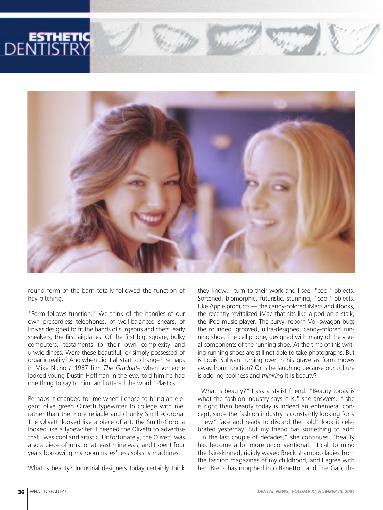

round form of the barn totally followed the function of hay pitching.

"Form follows function." We think of the handles of our own precordless telephones, of well-balanced shears, of knives designed to fit the hands of surgeons and chefs, early sneakers, the first airplanes. Of the first big, square, bulky computers, testaments to their own complexity and unwieldiness. Were these beautiful, or simply possessed of organic reality? And when did it all start to change? Perhaps in Mike Nichols' 1967 film *The Graduate* when someone looked young Dustin Hoffman in the eye, told him he had one thing to say to him, and uttered the word "Plastics."

Perhaps it changed for me when I chose to bring an elegant olive green Olivetti typewriter to college with me, rather than the more reliable and chunky Smith-Corona. The Olivetti looked like a piece of art, the Smith-Corona looked like a typewriter. I needed the Olivetti to advertise that I was cool and artistic. Unfortunately, the Olivetti was also a piece of junk, or at least mine was, and I spent four years borrowing my roommates' less splashy machines.

What is beauty? Industrial designers today certainly think

they know. I turn to their work and I see: "cool" objects. Softened, biomorphic, futuristic, stunning, "cool" objects. Like Apple products — the candy-colored iMacs and iBooks, the recently revitalized iMac that sits like a pod on a stalk, the iPod music player. The curvy, reborn Volkswagon bug; the rounded, grooved, ultra-designed, candy-colored running shoe. The cell phone, designed with many of the visual components of the running shoe. At the time of this writing running shoes are still not able to take photographs. But is Louis Sullivan turning over in his grave as form moves away from function? Or is he laughing because our culture is adoring coolness and *thinking* it is beauty?

"What is beauty?" I ask a stylist friend. "Beauty today is what the fashion industry says it is," she answers. If she is right then beauty today is indeed an ephemeral concept, since the fashion industry is constantly looking for a "new" face and ready to discard the "old" look it celebrated yesterday. But my friend has something to add: "In the last couple of decades," she continues, "beauty has become a lot more unconventional." I call to mind the fair-skinned, rigidly waved Breck shampoo ladies from the fashion magazines of my childhood, and I agree with her. Breck has morphed into Benetton and The Gap, the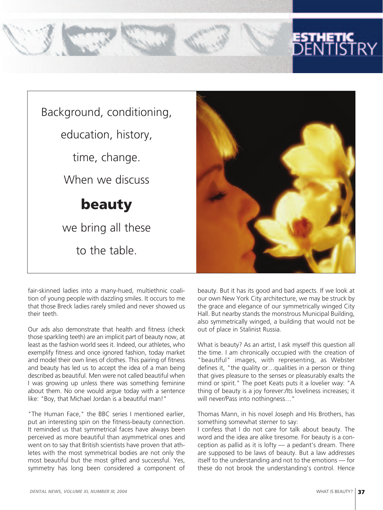



fair-skinned ladies into a many-hued, multiethnic coalition of young people with dazzling smiles. It occurs to me that those Breck ladies rarely smiled and never showed us their teeth.

Our ads also demonstrate that health and fitness (check those sparkling teeth) are an implicit part of beauty now, at least as the fashion world sees it. Indeed, our athletes, who exemplify fitness and once ignored fashion, today market and model their own lines of clothes. This pairing of fitness and beauty has led us to accept the idea of a man being described as beautiful. Men were not called beautiful when I was growing up unless there was something feminine about them. No one would argue today with a sentence like: "Boy, that Michael Jordan is a beautiful man!"

"The Human Face," the BBC series I mentioned earlier, put an interesting spin on the fitness-beauty connection. It reminded us that symmetrical faces have always been perceived as more beautiful than asymmetrical ones and went on to say that British scientists have proven that athletes with the most symmetrical bodies are not only the most beautiful but the most gifted and successful. Yes, symmetry has long been considered a component of

beauty. But it has its good and bad aspects. If we look at our own New York City architecture, we may be struck by the grace and elegance of our symmetrically winged City Hall. But nearby stands the monstrous Municipal Building, also symmetrically winged, a building that would not be out of place in Stalinist Russia.

What is beauty? As an artist, I ask myself this question all the time. I am chronically occupied with the creation of "beautiful" images, with representing, as Webster defines it, "the quality or…qualities in a person or thing that gives pleasure to the senses or pleasurably exalts the mind or spirit." The poet Keats puts it a lovelier way: "A thing of beauty is a joy forever:/Its loveliness increases; it will never/Pass into nothingness…"

Thomas Mann, in his novel Joseph and His Brothers, has something somewhat sterner to say:

I confess that I do not care for talk about beauty. The word and the idea are alike tiresome. For beauty is a conception as pallid as it is lofty — a pedant's dream. There are supposed to be laws of beauty. But a law addresses itself to the understanding and not to the emotions — for these do not brook the understanding's control. Hence